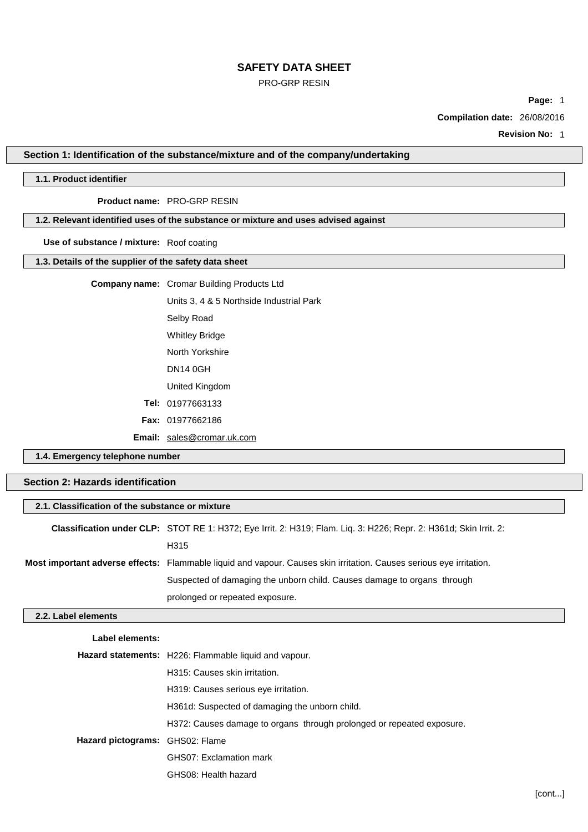# PRO-GRP RESIN

**Page:** 1

**Compilation date:** 26/08/2016

**Revision No:** 1

# **Section 1: Identification of the substance/mixture and of the company/undertaking**

# **1.1. Product identifier**

# **Product name:** PRO-GRP RESIN

### **1.2. Relevant identified uses of the substance or mixture and uses advised against**

**Use of substance / mixture:** Roof coating

### **1.3. Details of the supplier of the safety data sheet**

### **Company name:** Cromar Building Products Ltd

Units 3, 4 & 5 Northside Industrial Park Selby Road Whitley Bridge North Yorkshire DN14 0GH United Kingdom **Tel:** 01977663133

**Fax:** 01977662186

**Email:** [sales@cromar.uk.com](mailto:sales@cromar.uk.com)

GHS08: Health hazard

**1.4. Emergency telephone number**

# **Section 2: Hazards identification**

| 2.1. Classification of the substance or mixture |                                                                                                                            |  |
|-------------------------------------------------|----------------------------------------------------------------------------------------------------------------------------|--|
|                                                 | Classification under CLP: STOT RE 1: H372; Eye Irrit. 2: H319; Flam. Liq. 3: H226; Repr. 2: H361d; Skin Irrit. 2:          |  |
|                                                 | H315                                                                                                                       |  |
|                                                 | <b>Most important adverse effects:</b> Flammable liquid and vapour. Causes skin irritation. Causes serious eye irritation. |  |
|                                                 | Suspected of damaging the unborn child. Causes damage to organs through                                                    |  |
|                                                 | prolonged or repeated exposure.                                                                                            |  |
| 2.2. Label elements                             |                                                                                                                            |  |
| Label elements:                                 |                                                                                                                            |  |
|                                                 | <b>Hazard statements:</b> H226: Flammable liquid and vapour.                                                               |  |
|                                                 | H315: Causes skin irritation.                                                                                              |  |
|                                                 | H319: Causes serious eye irritation.                                                                                       |  |
|                                                 | H361d: Suspected of damaging the unborn child.                                                                             |  |
|                                                 | H372: Causes damage to organs through prolonged or repeated exposure.                                                      |  |
| Hazard pictograms: GHS02: Flame                 |                                                                                                                            |  |
|                                                 | GHS07: Exclamation mark                                                                                                    |  |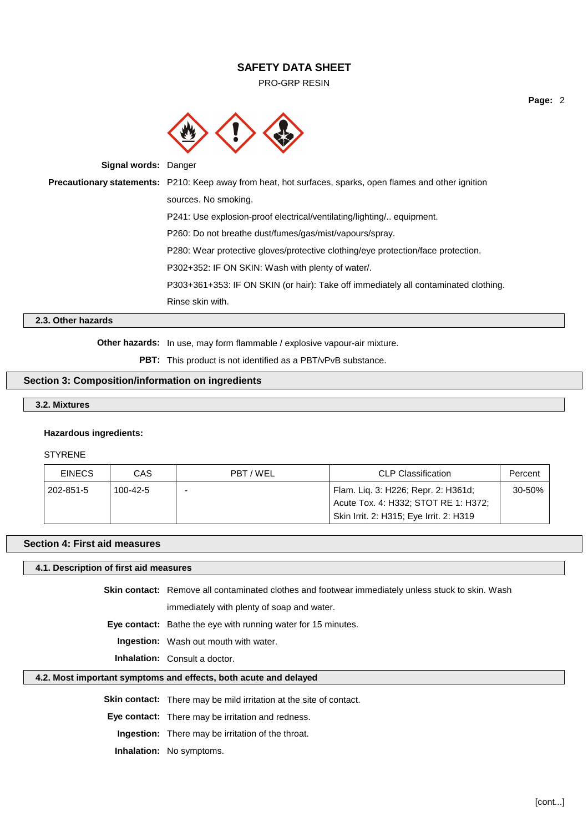PRO-GRP RESIN



**Signal words:** Danger

**Precautionary statements:** P210: Keep away from heat, hot surfaces, sparks, open flames and other ignition sources. No smoking. P241: Use explosion-proof electrical/ventilating/lighting/.. equipment. P260: Do not breathe dust/fumes/gas/mist/vapours/spray. P280: Wear protective gloves/protective clothing/eye protection/face protection. P302+352: IF ON SKIN: Wash with plenty of water/. P303+361+353: IF ON SKIN (or hair): Take off immediately all contaminated clothing. Rinse skin with.

# **2.3. Other hazards**

**Other hazards:** In use, may form flammable / explosive vapour-air mixture.

**PBT:** This product is not identified as a PBT/vPvB substance.

# **Section 3: Composition/information on ingredients**

### **3.2. Mixtures**

### **Hazardous ingredients:**

### STYRENE

| <b>EINECS</b> | CAS      | PBT/WEL | <b>CLP Classification</b>                                                   | Percent |
|---------------|----------|---------|-----------------------------------------------------------------------------|---------|
| 202-851-5     | 100-42-5 |         | Flam. Lig. 3: H226; Repr. 2: H361d;<br>Acute Tox. 4: H332; STOT RE 1: H372; | 30-50%  |
|               |          |         | Skin Irrit. 2: H315; Eye Irrit. 2: H319                                     |         |

### **Section 4: First aid measures**

### **4.1. Description of first aid measures**

**Skin contact:** Remove all contaminated clothes and footwear immediately unless stuck to skin. Wash immediately with plenty of soap and water.

**Eye contact:** Bathe the eye with running water for 15 minutes.

**Ingestion:** Wash out mouth with water.

**Inhalation:** Consult a doctor.

# **4.2. Most important symptoms and effects, both acute and delayed**

**Skin contact:** There may be mild irritation at the site of contact.

**Eye contact:** There may be irritation and redness.

**Ingestion:** There may be irritation of the throat.

**Inhalation:** No symptoms.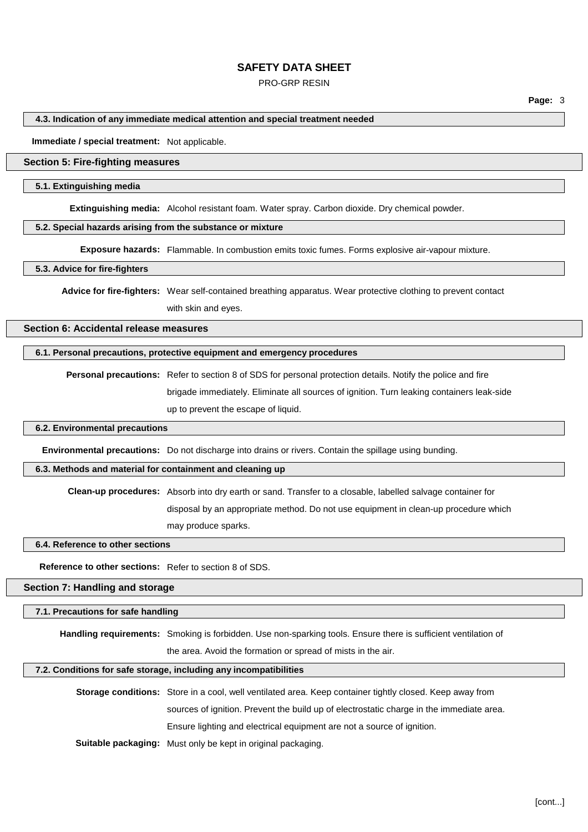### PRO-GRP RESIN

**Page:** 3

### **4.3. Indication of any immediate medical attention and special treatment needed**

**Immediate / special treatment:** Not applicable.

## **Section 5: Fire-fighting measures**

### **5.1. Extinguishing media**

**Extinguishing media:** Alcohol resistant foam. Water spray. Carbon dioxide. Dry chemical powder.

### **5.2. Special hazards arising from the substance or mixture**

**Exposure hazards:** Flammable. In combustion emits toxic fumes. Forms explosive air-vapour mixture.

### **5.3. Advice for fire-fighters**

**Advice for fire-fighters:** Wear self-contained breathing apparatus. Wear protective clothing to prevent contact with skin and eyes.

# **Section 6: Accidental release measures**

# **6.1. Personal precautions, protective equipment and emergency procedures**

**Personal precautions:** Refer to section 8 of SDS for personal protection details. Notify the police and fire brigade immediately. Eliminate all sources of ignition. Turn leaking containers leak-side up to prevent the escape of liquid.

### **6.2. Environmental precautions**

**Environmental precautions:** Do not discharge into drains or rivers. Contain the spillage using bunding.

### **6.3. Methods and material for containment and cleaning up**

**Clean-up procedures:** Absorb into dry earth or sand. Transfer to a closable, labelled salvage container for

disposal by an appropriate method. Do not use equipment in clean-up procedure which

may produce sparks.

### **6.4. Reference to other sections**

**Reference to other sections:** Refer to section 8 of SDS.

#### **Section 7: Handling and storage**

#### **7.1. Precautions for safe handling**

**Handling requirements:** Smoking is forbidden. Use non-sparking tools. Ensure there is sufficient ventilation of

the area. Avoid the formation or spread of mists in the air.

#### **7.2. Conditions for safe storage, including any incompatibilities**

**Storage conditions:** Store in a cool, well ventilated area. Keep container tightly closed. Keep away from sources of ignition. Prevent the build up of electrostatic charge in the immediate area. Ensure lighting and electrical equipment are not a source of ignition.

**Suitable packaging:** Must only be kept in original packaging.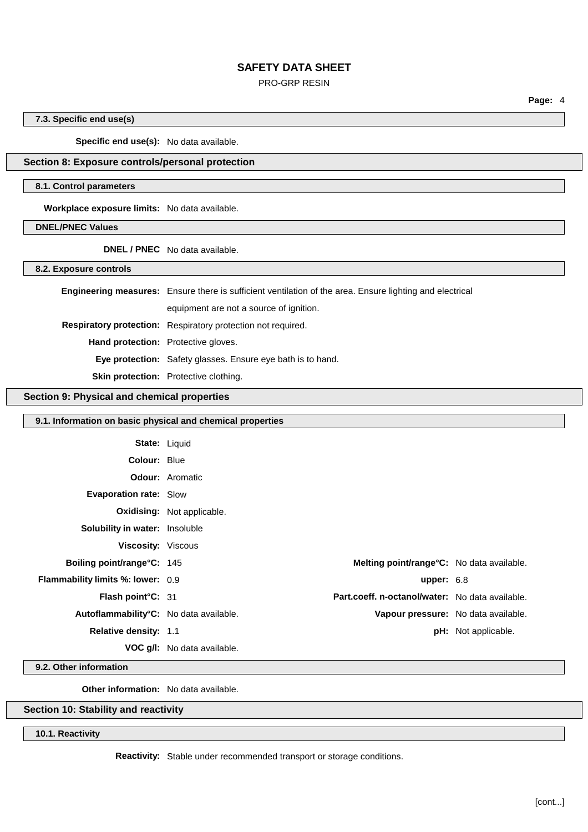### PRO-GRP RESIN

**7.3. Specific end use(s)**

**Specific end use(s):** No data available.

# **Section 8: Exposure controls/personal protection**

### **8.1. Control parameters**

**Workplace exposure limits:** No data available.

**DNEL/PNEC Values**

**DNEL / PNEC** No data available.

**8.2. Exposure controls**

|                                            | <b>Engineering measures:</b> Ensure there is sufficient ventilation of the area. Ensure lighting and electrical |  |
|--------------------------------------------|-----------------------------------------------------------------------------------------------------------------|--|
|                                            | equipment are not a source of ignition.                                                                         |  |
|                                            | Respiratory protection: Respiratory protection not required.                                                    |  |
| <b>Hand protection:</b> Protective gloves. |                                                                                                                 |  |
|                                            | <b>Eye protection:</b> Safety glasses. Ensure eye bath is to hand.                                              |  |
|                                            | <b>Skin protection:</b> Protective clothing.                                                                    |  |

### **Section 9: Physical and chemical properties**

| 9.1. Information on basic physical and chemical properties |                                    |                                                 |                            |
|------------------------------------------------------------|------------------------------------|-------------------------------------------------|----------------------------|
| <b>State: Liquid</b>                                       |                                    |                                                 |                            |
| <b>Colour: Blue</b>                                        |                                    |                                                 |                            |
|                                                            | <b>Odour:</b> Aromatic             |                                                 |                            |
| <b>Evaporation rate: Slow</b>                              |                                    |                                                 |                            |
|                                                            | <b>Oxidising:</b> Not applicable.  |                                                 |                            |
| <b>Solubility in water: Insoluble</b>                      |                                    |                                                 |                            |
| Viscosity: Viscous                                         |                                    |                                                 |                            |
| Boiling point/range°C: 145                                 |                                    | Melting point/range°C: No data available.       |                            |
| Flammability limits %: lower: 0.9                          |                                    | upper: $6.8$                                    |                            |
| Flash point°C: 31                                          |                                    | Part.coeff. n-octanol/water: No data available. |                            |
| Autoflammability°C: No data available.                     |                                    | Vapour pressure: No data available.             |                            |
| Relative density: 1.1                                      |                                    |                                                 | <b>pH:</b> Not applicable. |
|                                                            | <b>VOC g/l:</b> No data available. |                                                 |                            |
|                                                            |                                    |                                                 |                            |

**9.2. Other information**

**Other information:** No data available.

# **Section 10: Stability and reactivity**

**10.1. Reactivity**

**Reactivity:** Stable under recommended transport or storage conditions.

**Page:** 4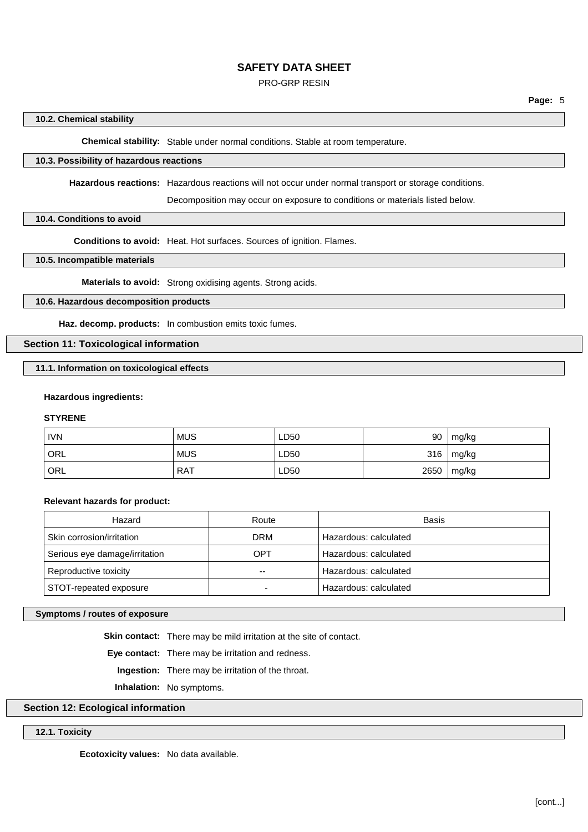### PRO-GRP RESIN

#### **10.2. Chemical stability**

**Chemical stability:** Stable under normal conditions. Stable at room temperature.

# **10.3. Possibility of hazardous reactions**

**Hazardous reactions:** Hazardous reactions will not occur under normal transport or storage conditions.

Decomposition may occur on exposure to conditions or materials listed below.

#### **10.4. Conditions to avoid**

**Conditions to avoid:** Heat. Hot surfaces. Sources of ignition. Flames.

### **10.5. Incompatible materials**

**Materials to avoid:** Strong oxidising agents. Strong acids.

# **10.6. Hazardous decomposition products**

**Haz. decomp. products:** In combustion emits toxic fumes.

# **Section 11: Toxicological information**

**11.1. Information on toxicological effects**

### **Hazardous ingredients:**

### **STYRENE**

| <b>IVN</b> | <b>MUS</b> | LD50 | 90   | mg/kg |
|------------|------------|------|------|-------|
| ORL        | <b>MUS</b> | LD50 | 316  | mg/kg |
| ORL        | <b>RAT</b> | LD50 | 2650 | mg/kg |

### **Relevant hazards for product:**

| Hazard                        | Route      | <b>Basis</b>          |
|-------------------------------|------------|-----------------------|
| Skin corrosion/irritation     | <b>DRM</b> | Hazardous: calculated |
| Serious eye damage/irritation | OPT        | Hazardous: calculated |
| Reproductive toxicity         | --         | Hazardous: calculated |
| STOT-repeated exposure        |            | Hazardous: calculated |

# **Symptoms / routes of exposure**

**Skin contact:** There may be mild irritation at the site of contact.

**Eye contact:** There may be irritation and redness.

**Ingestion:** There may be irritation of the throat.

**Inhalation:** No symptoms.

# **Section 12: Ecological information**

# **12.1. Toxicity**

**Ecotoxicity values:** No data available.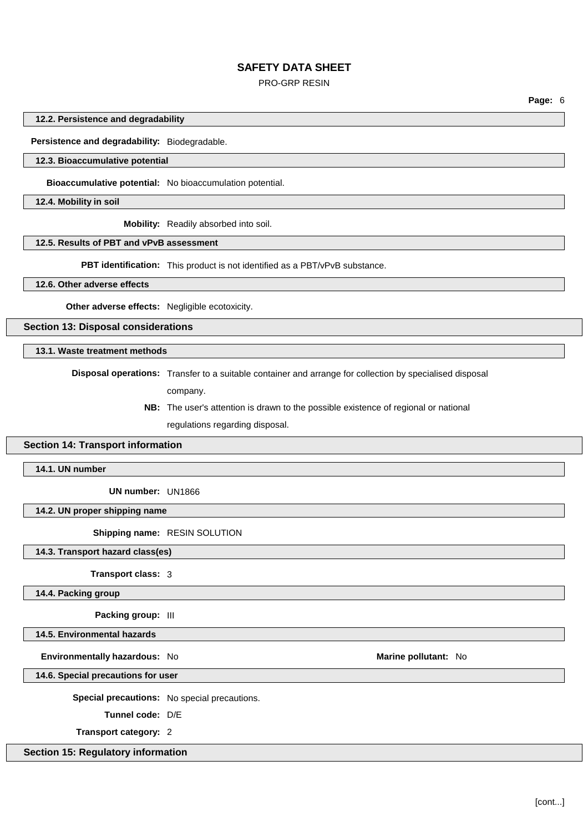### PRO-GRP RESIN

**Page:** 6

#### **12.2. Persistence and degradability**

**Persistence and degradability:** Biodegradable.

### **12.3. Bioaccumulative potential**

**Bioaccumulative potential:** No bioaccumulation potential.

**12.4. Mobility in soil**

**Mobility:** Readily absorbed into soil.

# **12.5. Results of PBT and vPvB assessment**

**PBT identification:** This product is not identified as a PBT/vPvB substance.

### **12.6. Other adverse effects**

**Other adverse effects:** Negligible ecotoxicity.

**Section 13: Disposal considerations**

# **13.1. Waste treatment methods**

**Disposal operations:** Transfer to a suitable container and arrange for collection by specialised disposal

- company.
- **NB:** The user's attention is drawn to the possible existence of regional or national regulations regarding disposal.

### **Section 14: Transport information**

**14.1. UN number**

**UN number:** UN1866

#### **14.2. UN proper shipping name**

**Shipping name:** RESIN SOLUTION

**14.3. Transport hazard class(es)**

**Transport class:** 3

**14.4. Packing group**

**Packing group:** III

**14.5. Environmental hazards**

**Environmentally hazardous:** No **Marine Marine Marine Marine Marine Marine Marine Marine Marine Marine** 

**14.6. Special precautions for user**

**Special precautions:** No special precautions.

**Tunnel code:** D/E

**Transport category:** 2

# **Section 15: Regulatory information**